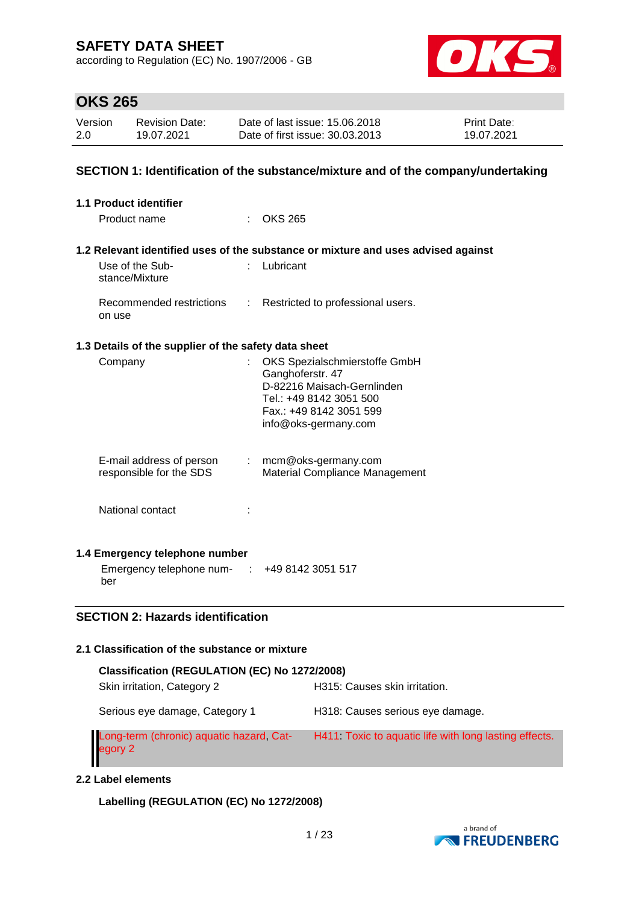according to Regulation (EC) No. 1907/2006 - GB



### **OKS 265**

| Version | Revision Date: | Date of last issue: 15.06.2018  | <b>Print Date:</b> |
|---------|----------------|---------------------------------|--------------------|
| 2.0     | 19.07.2021     | Date of first issue: 30.03.2013 | 19.07.2021         |

### **SECTION 1: Identification of the substance/mixture and of the company/undertaking**

| 1.1 Product identifier |                                                                                             |  |                                                                                                                                                               |  |  |
|------------------------|---------------------------------------------------------------------------------------------|--|---------------------------------------------------------------------------------------------------------------------------------------------------------------|--|--|
|                        | Product name                                                                                |  | $:$ OKS 265                                                                                                                                                   |  |  |
|                        |                                                                                             |  | 1.2 Relevant identified uses of the substance or mixture and uses advised against                                                                             |  |  |
|                        | Use of the Sub-<br>stance/Mixture                                                           |  | : Lubricant                                                                                                                                                   |  |  |
|                        | Recommended restrictions<br>on use                                                          |  | : Restricted to professional users.                                                                                                                           |  |  |
|                        | 1.3 Details of the supplier of the safety data sheet                                        |  |                                                                                                                                                               |  |  |
|                        | Company                                                                                     |  | OKS Spezialschmierstoffe GmbH<br>Ganghoferstr. 47<br>D-82216 Maisach-Gernlinden<br>Tel.: +49 8142 3051 500<br>Fax.: +49 8142 3051 599<br>info@oks-germany.com |  |  |
|                        | E-mail address of person<br>responsible for the SDS                                         |  | $:$ mcm@oks-germany.com<br><b>Material Compliance Management</b>                                                                                              |  |  |
|                        | National contact                                                                            |  |                                                                                                                                                               |  |  |
|                        | 1.4 Emergency telephone number<br>Emergency telephone num- $\cdot$ +49 8142 3051 517<br>ber |  |                                                                                                                                                               |  |  |

### **SECTION 2: Hazards identification**

### **2.1 Classification of the substance or mixture**

| Classification (REGULATION (EC) No 1272/2008)       |                                                       |  |  |  |  |  |
|-----------------------------------------------------|-------------------------------------------------------|--|--|--|--|--|
| Skin irritation, Category 2                         | H315: Causes skin irritation.                         |  |  |  |  |  |
| Serious eye damage, Category 1                      | H318: Causes serious eye damage.                      |  |  |  |  |  |
| Long-term (chronic) aquatic hazard, Cat-<br>egory 2 | H411 Toxic to aquatic life with long lasting effects. |  |  |  |  |  |

#### **2.2 Label elements**

**Labelling (REGULATION (EC) No 1272/2008)**

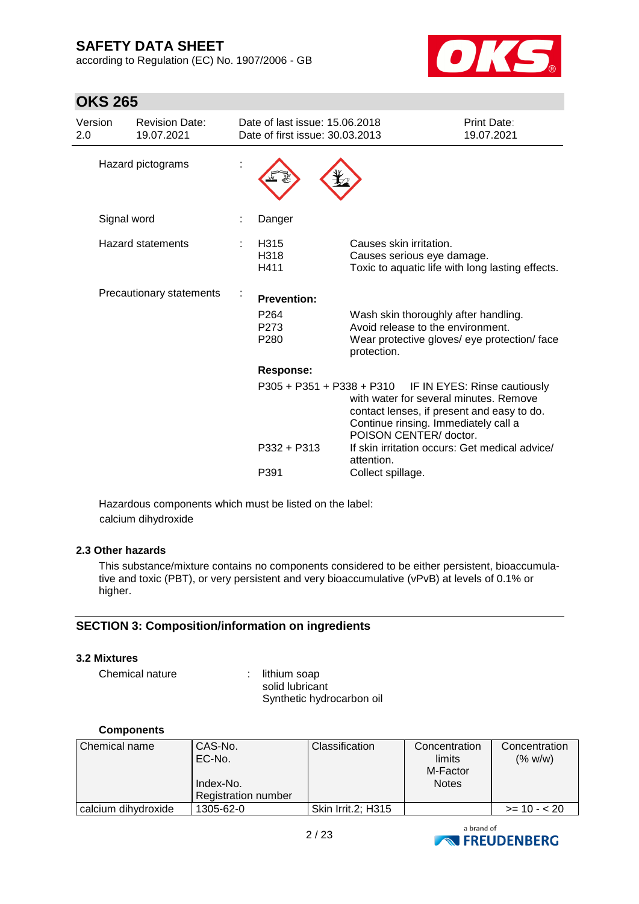according to Regulation (EC) No. 1907/2006 - GB



| <b>OKS 265</b>           |                                     |   |                                                                   |                                                                                                                                                                                                                  |                                  |  |
|--------------------------|-------------------------------------|---|-------------------------------------------------------------------|------------------------------------------------------------------------------------------------------------------------------------------------------------------------------------------------------------------|----------------------------------|--|
| Version<br>2.0           | <b>Revision Date:</b><br>19.07.2021 |   | Date of last issue: 15.06.2018<br>Date of first issue: 30.03.2013 |                                                                                                                                                                                                                  | <b>Print Date:</b><br>19.07.2021 |  |
| Hazard pictograms        |                                     |   |                                                                   |                                                                                                                                                                                                                  |                                  |  |
|                          | Signal word                         | ÷ | Danger                                                            |                                                                                                                                                                                                                  |                                  |  |
| <b>Hazard statements</b> |                                     |   | H315<br>H318<br>H411                                              | Causes skin irritation.<br>Causes serious eye damage.<br>Toxic to aquatic life with long lasting effects.                                                                                                        |                                  |  |
|                          | Precautionary statements            |   | <b>Prevention:</b>                                                |                                                                                                                                                                                                                  |                                  |  |
|                          |                                     |   | P <sub>264</sub><br>P <sub>273</sub><br>P <sub>280</sub>          | Wash skin thoroughly after handling.<br>Avoid release to the environment.<br>Wear protective gloves/ eye protection/ face<br>protection.                                                                         |                                  |  |
|                          |                                     |   | Response:                                                         |                                                                                                                                                                                                                  |                                  |  |
|                          |                                     |   |                                                                   | P305 + P351 + P338 + P310 IF IN EYES: Rinse cautiously<br>with water for several minutes. Remove<br>contact lenses, if present and easy to do.<br>Continue rinsing. Immediately call a<br>POISON CENTER/ doctor. |                                  |  |
|                          |                                     |   | $P332 + P313$                                                     | If skin irritation occurs: Get medical advice/<br>attention.                                                                                                                                                     |                                  |  |
|                          |                                     |   | P391                                                              | Collect spillage.                                                                                                                                                                                                |                                  |  |

Hazardous components which must be listed on the label: calcium dihydroxide

### **2.3 Other hazards**

This substance/mixture contains no components considered to be either persistent, bioaccumulative and toxic (PBT), or very persistent and very bioaccumulative (vPvB) at levels of 0.1% or higher.

### **SECTION 3: Composition/information on ingredients**

#### **3.2 Mixtures**

Chemical nature : lithium soap

solid lubricant Synthetic hydrocarbon oil

#### **Components**

| Chemical name       | CAS-No.<br>EC-No.<br>Index-No.<br><b>Registration number</b> | <b>Classification</b> | Concentration<br>limits<br>M-Factor<br><b>Notes</b> | Concentration<br>(% w/w) |
|---------------------|--------------------------------------------------------------|-----------------------|-----------------------------------------------------|--------------------------|
| calcium dihydroxide | 1305-62-0                                                    | Skin Irrit.2; H315    |                                                     | $>= 10 - 20$             |

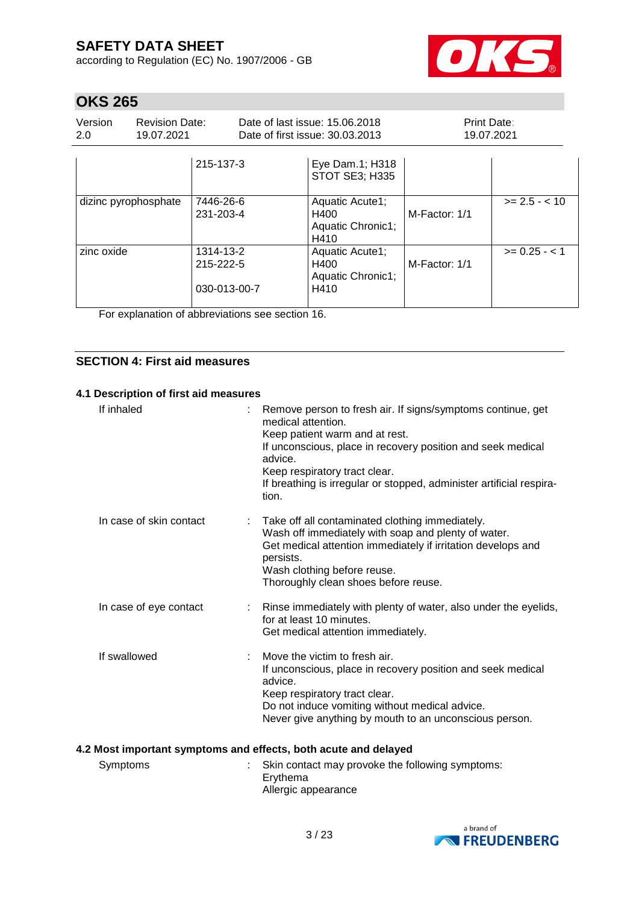according to Regulation (EC) No. 1907/2006 - GB



# **OKS 265**

| Version<br>2.0       | <b>Revision Date:</b><br>19.07.2021 |                                        | Date of last issue: 15.06.2018<br>Date of first issue: 30.03.2013 | Print Date:<br>19.07.2021 |                 |
|----------------------|-------------------------------------|----------------------------------------|-------------------------------------------------------------------|---------------------------|-----------------|
|                      |                                     | 215-137-3                              | Eye Dam.1; H318<br>STOT SE3; H335                                 |                           |                 |
| dizinc pyrophosphate |                                     | 7446-26-6<br>231-203-4                 | Aquatic Acute1;<br>H400<br>Aquatic Chronic1;<br>H410              | M-Factor: 1/1             | $>= 2.5 - < 10$ |
| zinc oxide           |                                     | 1314-13-2<br>215-222-5<br>030-013-00-7 | Aquatic Acute1;<br>H400<br>Aquatic Chronic1;<br>H410              | M-Factor: 1/1             | $>= 0.25 - 1$   |

For explanation of abbreviations see section 16.

### **SECTION 4: First aid measures**

#### **4.1 Description of first aid measures**

| If inhaled              | Remove person to fresh air. If signs/symptoms continue, get<br>medical attention<br>Keep patient warm and at rest.<br>If unconscious, place in recovery position and seek medical<br>advice.<br>Keep respiratory tract clear.<br>If breathing is irregular or stopped, administer artificial respira-<br>tion. |
|-------------------------|----------------------------------------------------------------------------------------------------------------------------------------------------------------------------------------------------------------------------------------------------------------------------------------------------------------|
| In case of skin contact | Take off all contaminated clothing immediately.<br>Wash off immediately with soap and plenty of water.<br>Get medical attention immediately if irritation develops and<br>persists.<br>Wash clothing before reuse.<br>Thoroughly clean shoes before reuse.                                                     |
| In case of eye contact  | Rinse immediately with plenty of water, also under the eyelids,<br>for at least 10 minutes.<br>Get medical attention immediately.                                                                                                                                                                              |
| If swallowed            | Move the victim to fresh air.<br>If unconscious, place in recovery position and seek medical<br>advice.<br>Keep respiratory tract clear.<br>Do not induce vomiting without medical advice.<br>Never give anything by mouth to an unconscious person.                                                           |

### **4.2 Most important symptoms and effects, both acute and delayed**

| Symptoms | : Skin contact may provoke the following symptoms: |
|----------|----------------------------------------------------|
|          | Ervthema                                           |
|          | Allergic appearance                                |

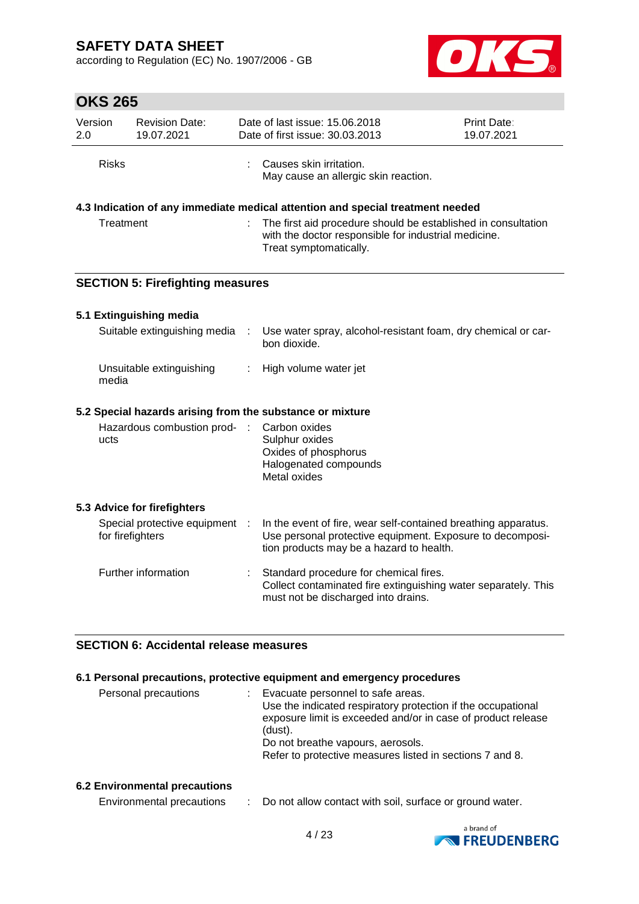according to Regulation (EC) No. 1907/2006 - GB



# **OKS 265**

| טוגט בטט       |                                                    |       |                                                                                                                                                                         |                           |
|----------------|----------------------------------------------------|-------|-------------------------------------------------------------------------------------------------------------------------------------------------------------------------|---------------------------|
| Version<br>2.0 | <b>Revision Date:</b><br>19.07.2021                |       | Date of last issue: 15.06.2018<br>Date of first issue: 30.03.2013                                                                                                       | Print Date:<br>19.07.2021 |
| <b>Risks</b>   |                                                    |       | Causes skin irritation.<br>May cause an allergic skin reaction.                                                                                                         |                           |
|                |                                                    |       | 4.3 Indication of any immediate medical attention and special treatment needed                                                                                          |                           |
| Treatment      |                                                    |       | The first aid procedure should be established in consultation<br>with the doctor responsible for industrial medicine.<br>Treat symptomatically.                         |                           |
|                | <b>SECTION 5: Firefighting measures</b>            |       |                                                                                                                                                                         |                           |
|                | 5.1 Extinguishing media                            |       |                                                                                                                                                                         |                           |
|                | Suitable extinguishing media                       | $\pm$ | Use water spray, alcohol-resistant foam, dry chemical or car-<br>bon dioxide.                                                                                           |                           |
| media          | Unsuitable extinguishing                           | ÷     | High volume water jet                                                                                                                                                   |                           |
|                |                                                    |       | 5.2 Special hazards arising from the substance or mixture                                                                                                               |                           |
| ucts           | Hazardous combustion prod- :                       |       | Carbon oxides<br>Sulphur oxides<br>Oxides of phosphorus<br>Halogenated compounds<br>Metal oxides                                                                        |                           |
|                | 5.3 Advice for firefighters                        |       |                                                                                                                                                                         |                           |
|                | Special protective equipment :<br>for firefighters |       | In the event of fire, wear self-contained breathing apparatus.<br>Use personal protective equipment. Exposure to decomposi-<br>tion products may be a hazard to health. |                           |
|                | Further information                                |       | Standard procedure for chemical fires.<br>Collect contaminated fire extinguishing water separately. This<br>must not be discharged into drains.                         |                           |

### **SECTION 6: Accidental release measures**

### **6.1 Personal precautions, protective equipment and emergency procedures**

| Personal precautions | Evacuate personnel to safe areas.<br>Use the indicated respiratory protection if the occupational<br>exposure limit is exceeded and/or in case of product release<br>(dust).<br>Do not breathe vapours, aerosols.<br>Refer to protective measures listed in sections 7 and 8. |
|----------------------|-------------------------------------------------------------------------------------------------------------------------------------------------------------------------------------------------------------------------------------------------------------------------------|
|                      |                                                                                                                                                                                                                                                                               |

#### **6.2 Environmental precautions**

Environmental precautions : Do not allow contact with soil, surface or ground water.

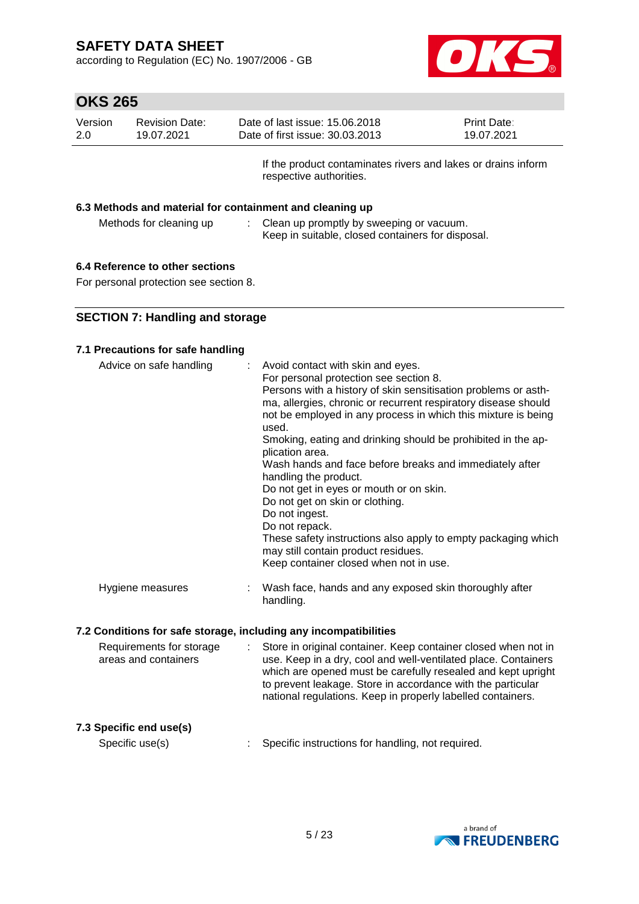according to Regulation (EC) No. 1907/2006 - GB



| Version | <b>Revision Date:</b> | Date of last issue: 15.06.2018                                | <b>Print Date:</b> |
|---------|-----------------------|---------------------------------------------------------------|--------------------|
| 2.0     | 19.07.2021            | Date of first issue: 30.03.2013                               | 19.07.2021         |
|         |                       | If the product contaminates rivers and lakes or drains inform |                    |

respective authorities.

#### **6.3 Methods and material for containment and cleaning up**

| Methods for cleaning up | Clean up promptly by sweeping or vacuum.          |
|-------------------------|---------------------------------------------------|
|                         | Keep in suitable, closed containers for disposal. |

#### **6.4 Reference to other sections**

For personal protection see section 8.

### **SECTION 7: Handling and storage**

#### **7.1 Precautions for safe handling**

| Advice on safe handling | : Avoid contact with skin and eyes.<br>For personal protection see section 8.<br>Persons with a history of skin sensitisation problems or asth-<br>ma, allergies, chronic or recurrent respiratory disease should<br>not be employed in any process in which this mixture is being<br>used.<br>Smoking, eating and drinking should be prohibited in the ap-<br>plication area.<br>Wash hands and face before breaks and immediately after<br>handling the product.<br>Do not get in eyes or mouth or on skin.<br>Do not get on skin or clothing.<br>Do not ingest.<br>Do not repack.<br>These safety instructions also apply to empty packaging which<br>may still contain product residues.<br>Keep container closed when not in use. |
|-------------------------|----------------------------------------------------------------------------------------------------------------------------------------------------------------------------------------------------------------------------------------------------------------------------------------------------------------------------------------------------------------------------------------------------------------------------------------------------------------------------------------------------------------------------------------------------------------------------------------------------------------------------------------------------------------------------------------------------------------------------------------|
| Hygiene measures        | : Wash face, hands and any exposed skin thoroughly after<br>handling.                                                                                                                                                                                                                                                                                                                                                                                                                                                                                                                                                                                                                                                                  |

#### **7.2 Conditions for safe storage, including any incompatibilities**

| Requirements for storage<br>areas and containers |  | Store in original container. Keep container closed when not in<br>use. Keep in a dry, cool and well-ventilated place. Containers<br>which are opened must be carefully resealed and kept upright<br>to prevent leakage. Store in accordance with the particular<br>national regulations. Keep in properly labelled containers. |
|--------------------------------------------------|--|--------------------------------------------------------------------------------------------------------------------------------------------------------------------------------------------------------------------------------------------------------------------------------------------------------------------------------|
|--------------------------------------------------|--|--------------------------------------------------------------------------------------------------------------------------------------------------------------------------------------------------------------------------------------------------------------------------------------------------------------------------------|

### **7.3 Specific end use(s)**

Specific use(s) : Specific instructions for handling, not required.

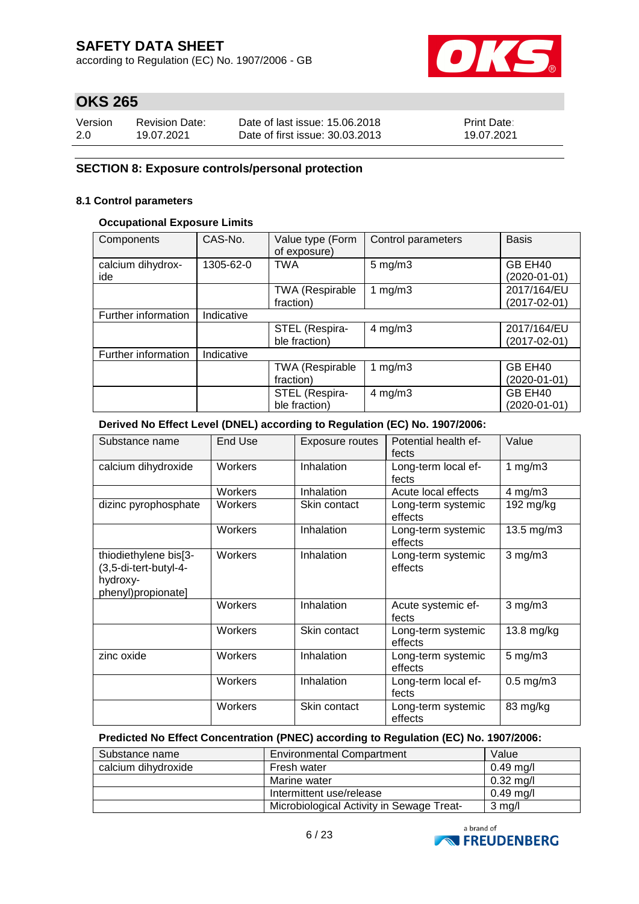according to Regulation (EC) No. 1907/2006 - GB



# **OKS 265**

| Version | <b>Revision Date:</b> | Date of last issue: 15,06,2018  | <b>Print Date:</b> |
|---------|-----------------------|---------------------------------|--------------------|
| 2.0     | 19.07.2021            | Date of first issue: 30.03.2013 | 19.07.2021         |

### **SECTION 8: Exposure controls/personal protection**

#### **8.1 Control parameters**

### **Occupational Exposure Limits**

| Components               | CAS-No.    | Value type (Form<br>of exposure) | Control parameters | <b>Basis</b>            |
|--------------------------|------------|----------------------------------|--------------------|-------------------------|
| calcium dihydrox-<br>ide | 1305-62-0  | <b>TWA</b>                       | $5$ mg/m $3$       | GB EH40<br>(2020-01-01) |
|                          |            | <b>TWA (Respirable</b>           | 1 $mg/m3$          | 2017/164/EU             |
|                          |            | fraction)                        |                    | $(2017 - 02 - 01)$      |
| Further information      | Indicative |                                  |                    |                         |
|                          |            | STEL (Respira-                   | $4$ mg/m $3$       | 2017/164/EU             |
|                          |            | ble fraction)                    |                    | $(2017 - 02 - 01)$      |
| Further information      | Indicative |                                  |                    |                         |
|                          |            | <b>TWA (Respirable</b>           | 1 $mg/m3$          | GB EH40                 |
|                          |            | fraction)                        |                    | (2020-01-01)            |
|                          |            | STEL (Respira-                   | $4$ mg/m $3$       | GB EH40                 |
|                          |            | ble fraction)                    |                    | (2020-01-01)            |

#### **Derived No Effect Level (DNEL) according to Regulation (EC) No. 1907/2006:**

| Substance name                                                                   | End Use | Exposure routes | Potential health ef-<br>fects | Value            |
|----------------------------------------------------------------------------------|---------|-----------------|-------------------------------|------------------|
| calcium dihydroxide                                                              | Workers | Inhalation      | Long-term local ef-<br>fects  | 1 $mg/m3$        |
|                                                                                  | Workers | Inhalation      | Acute local effects           | $4$ mg/m $3$     |
| dizinc pyrophosphate                                                             | Workers | Skin contact    | Long-term systemic<br>effects | 192 mg/kg        |
|                                                                                  | Workers | Inhalation      | Long-term systemic<br>effects | 13.5 mg/m3       |
| thiodiethylene bis[3-<br>(3,5-di-tert-butyl-4-<br>hydroxy-<br>phenyl)propionate] | Workers | Inhalation      | Long-term systemic<br>effects | $3$ mg/m $3$     |
|                                                                                  | Workers | Inhalation      | Acute systemic ef-<br>fects   | $3$ mg/m $3$     |
|                                                                                  | Workers | Skin contact    | Long-term systemic<br>effects | $13.8$ mg/kg     |
| zinc oxide                                                                       | Workers | Inhalation      | Long-term systemic<br>effects | $5 \text{ mg/m}$ |
|                                                                                  | Workers | Inhalation      | Long-term local ef-<br>fects  | $0.5$ mg/m $3$   |
|                                                                                  | Workers | Skin contact    | Long-term systemic<br>effects | 83 mg/kg         |

#### **Predicted No Effect Concentration (PNEC) according to Regulation (EC) No. 1907/2006:**

| Substance name      | <b>Environmental Compartment</b><br>Value |                  |
|---------------------|-------------------------------------------|------------------|
| calcium dihydroxide | Fresh water                               | $0.49$ mg/l      |
|                     | Marine water                              | $0.32$ mg/l      |
|                     | Intermittent use/release                  | $0.49$ mg/l      |
|                     | Microbiological Activity in Sewage Treat- | $3 \text{ mg/l}$ |

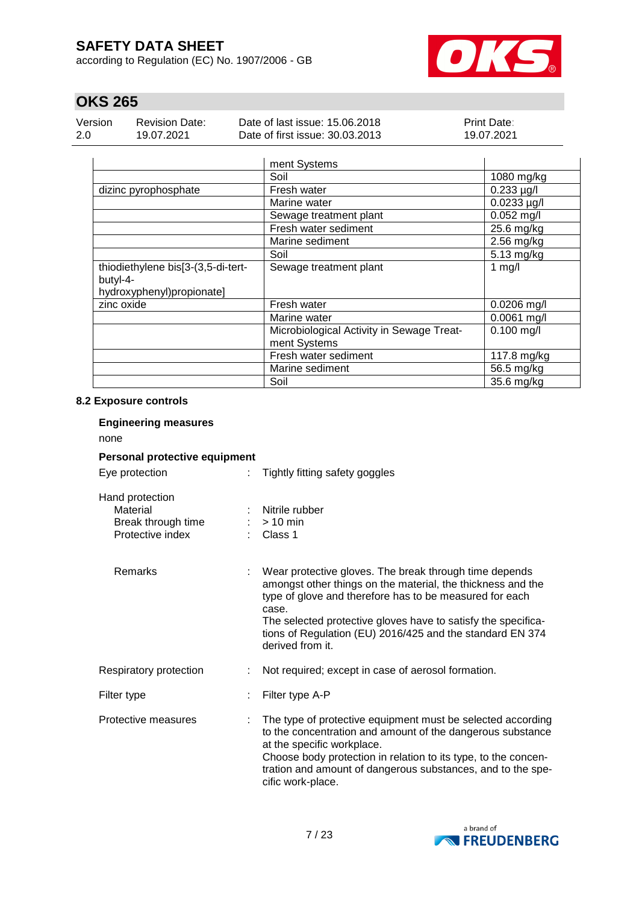according to Regulation (EC) No. 1907/2006 - GB



# **OKS 265**

| Version | <b>Revision Date:</b> | Date of last issue: 15,06,2018  | <b>Print Date:</b> |
|---------|-----------------------|---------------------------------|--------------------|
| 2.0     | 19.07.2021            | Date of first issue: 30.03.2013 | 19.07.2021         |

|                                    | ment Systems                              |                 |
|------------------------------------|-------------------------------------------|-----------------|
|                                    | Soil                                      | 1080 mg/kg      |
| dizinc pyrophosphate               | Fresh water                               | $0.233 \mu g/l$ |
|                                    | Marine water                              | $0.0233$ µg/l   |
|                                    | Sewage treatment plant                    | $0.052$ mg/l    |
|                                    | Fresh water sediment                      | 25.6 mg/kg      |
|                                    | Marine sediment                           | 2.56 mg/kg      |
|                                    | Soil                                      | 5.13 mg/kg      |
| thiodiethylene bis[3-(3,5-di-tert- | Sewage treatment plant                    | 1 $mg/l$        |
| butyl-4-                           |                                           |                 |
| hydroxyphenyl)propionate]          |                                           |                 |
| zinc oxide                         | Fresh water                               | $0.0206$ mg/l   |
|                                    | Marine water                              | $0.0061$ mg/l   |
|                                    | Microbiological Activity in Sewage Treat- | $0.100$ mg/l    |
|                                    | ment Systems                              |                 |
|                                    | Fresh water sediment                      | 117.8 mg/kg     |
|                                    | Marine sediment                           | 56.5 mg/kg      |
|                                    | Soil                                      | 35.6 mg/kg      |

### **8.2 Exposure controls**

| <b>Engineering measures</b><br>none                                   |   |                                                                                                                                                                                                                                                                                                                                             |
|-----------------------------------------------------------------------|---|---------------------------------------------------------------------------------------------------------------------------------------------------------------------------------------------------------------------------------------------------------------------------------------------------------------------------------------------|
| Personal protective equipment                                         |   |                                                                                                                                                                                                                                                                                                                                             |
| Eye protection                                                        |   | Tightly fitting safety goggles                                                                                                                                                                                                                                                                                                              |
| Hand protection<br>Material<br>Break through time<br>Protective index |   | Nitrile rubber<br>$> 10$ min<br>: Class 1                                                                                                                                                                                                                                                                                                   |
| Remarks                                                               | ÷ | Wear protective gloves. The break through time depends<br>amongst other things on the material, the thickness and the<br>type of glove and therefore has to be measured for each<br>case.<br>The selected protective gloves have to satisfy the specifica-<br>tions of Regulation (EU) 2016/425 and the standard EN 374<br>derived from it. |
| Respiratory protection                                                |   | Not required; except in case of aerosol formation.                                                                                                                                                                                                                                                                                          |
| Filter type                                                           |   | Filter type A-P                                                                                                                                                                                                                                                                                                                             |
| Protective measures                                                   |   | The type of protective equipment must be selected according<br>to the concentration and amount of the dangerous substance<br>at the specific workplace.<br>Choose body protection in relation to its type, to the concen-<br>tration and amount of dangerous substances, and to the spe-<br>cific work-place.                               |

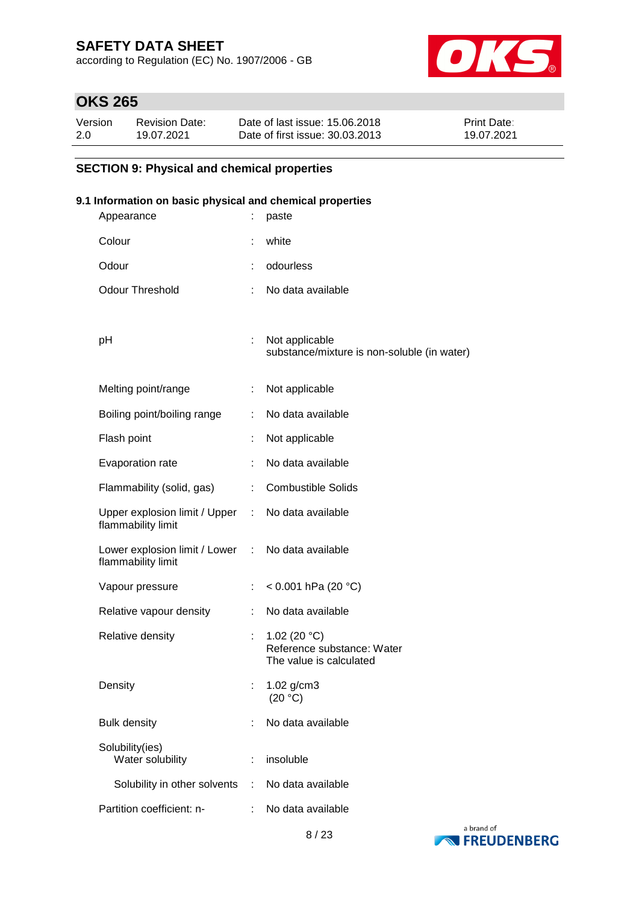according to Regulation (EC) No. 1907/2006 - GB



# **OKS 265**

| Version | <b>Revision Date:</b> | Date of last issue: 15.06.2018  | <b>Print Date:</b> |
|---------|-----------------------|---------------------------------|--------------------|
| 2.0     | 19.07.2021            | Date of first issue: 30.03.2013 | 19.07.2021         |

### **SECTION 9: Physical and chemical properties**

### **9.1 Information on basic physical and chemical properties**

| Appearance                                            | İ  | paste                                                                    |
|-------------------------------------------------------|----|--------------------------------------------------------------------------|
| Colour                                                |    | white                                                                    |
| Odour                                                 |    | odourless                                                                |
| <b>Odour Threshold</b>                                | ÷. | No data available                                                        |
|                                                       |    |                                                                          |
| рH                                                    | t. | Not applicable<br>substance/mixture is non-soluble (in water)            |
| Melting point/range                                   |    | Not applicable                                                           |
| Boiling point/boiling range                           |    | No data available                                                        |
| Flash point                                           |    | Not applicable                                                           |
| Evaporation rate                                      | t  | No data available                                                        |
| Flammability (solid, gas)                             | ÷. | <b>Combustible Solids</b>                                                |
| Upper explosion limit / Upper :<br>flammability limit |    | No data available                                                        |
| Lower explosion limit / Lower :<br>flammability limit |    | No data available                                                        |
| Vapour pressure                                       | ÷. | < 0.001 hPa (20 $^{\circ}$ C)                                            |
| Relative vapour density                               | ÷  | No data available                                                        |
| Relative density                                      | t. | 1.02 (20 $°C$ )<br>Reference substance: Water<br>The value is calculated |
| Density                                               |    | 1.02 g/cm3<br>(20 °C)                                                    |
| <b>Bulk density</b>                                   |    | No data available                                                        |
| Solubility(ies)<br>Water solubility                   | ÷  | insoluble                                                                |
| Solubility in other solvents                          | ÷. | No data available                                                        |
| Partition coefficient: n-                             | ÷. | No data available                                                        |
|                                                       |    |                                                                          |

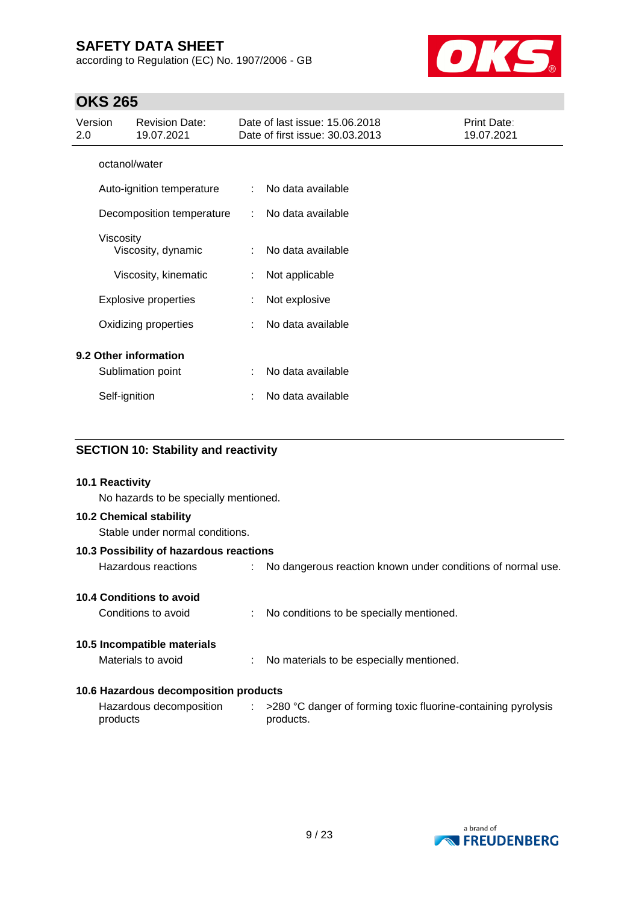according to Regulation (EC) No. 1907/2006 - GB



# **OKS 265**

| Version<br>2.0        |               | <b>Revision Date:</b><br>19.07.2021 |   | Date of last issue: 15.06.2018<br>Date of first issue: 30.03.2013 | Print Date:<br>19.07.2021 |
|-----------------------|---------------|-------------------------------------|---|-------------------------------------------------------------------|---------------------------|
|                       | octanol/water |                                     |   |                                                                   |                           |
|                       |               | Auto-ignition temperature           |   | No data available                                                 |                           |
|                       |               | Decomposition temperature           |   | No data available                                                 |                           |
|                       | Viscosity     | Viscosity, dynamic                  | ÷ | No data available                                                 |                           |
|                       |               | Viscosity, kinematic                | ÷ | Not applicable                                                    |                           |
|                       |               | <b>Explosive properties</b>         |   | Not explosive                                                     |                           |
|                       |               | Oxidizing properties                |   | No data available                                                 |                           |
| 9.2 Other information |               |                                     |   |                                                                   |                           |
|                       |               | Sublimation point                   |   | No data available                                                 |                           |
|                       | Self-ignition |                                     |   | No data available                                                 |                           |

### **SECTION 10: Stability and reactivity**

| 10.1 Reactivity<br>No hazards to be specially mentioned.   |  |                                                                                         |  |  |  |  |
|------------------------------------------------------------|--|-----------------------------------------------------------------------------------------|--|--|--|--|
| 10.2 Chemical stability<br>Stable under normal conditions. |  |                                                                                         |  |  |  |  |
| 10.3 Possibility of hazardous reactions                    |  |                                                                                         |  |  |  |  |
| Hazardous reactions                                        |  | : No dangerous reaction known under conditions of normal use.                           |  |  |  |  |
| 10.4 Conditions to avoid                                   |  |                                                                                         |  |  |  |  |
| Conditions to avoid                                        |  | : No conditions to be specially mentioned.                                              |  |  |  |  |
| 10.5 Incompatible materials                                |  |                                                                                         |  |  |  |  |
| Materials to avoid                                         |  | : No materials to be especially mentioned.                                              |  |  |  |  |
| 10.6 Hazardous decomposition products                      |  |                                                                                         |  |  |  |  |
| Hazardous decomposition<br>products                        |  | $\therefore$ >280 °C danger of forming toxic fluorine-containing pyrolysis<br>products. |  |  |  |  |

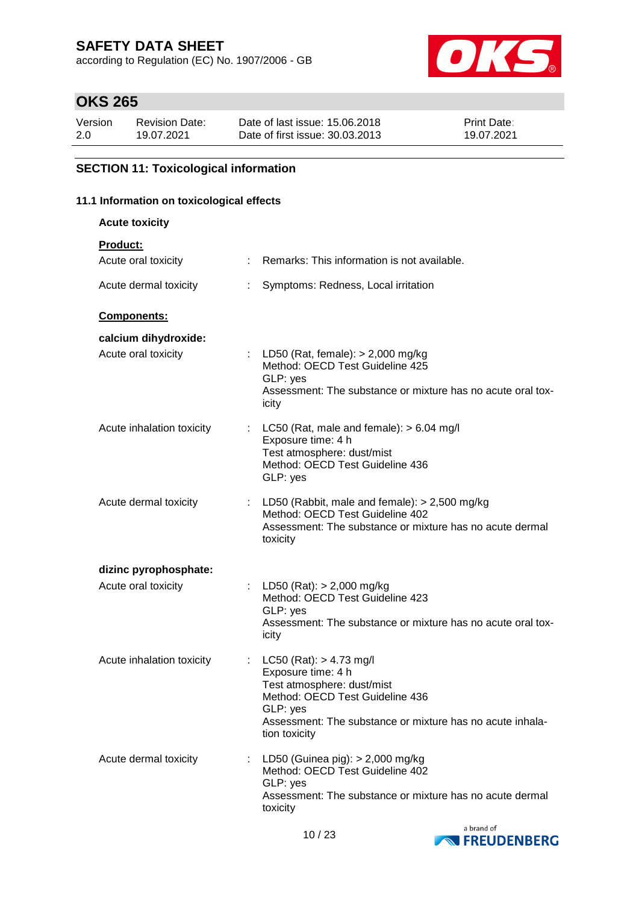according to Regulation (EC) No. 1907/2006 - GB



# **OKS 265**

| Version | <b>Revision Date:</b> | Date of last issue: 15,06,2018  | <b>Print Date:</b> |
|---------|-----------------------|---------------------------------|--------------------|
| 2.0     | 19.07.2021            | Date of first issue: 30.03.2013 | 19.07.2021         |

### **SECTION 11: Toxicological information**

### **11.1 Information on toxicological effects**

| <b>Acute toxicity</b>      |                                                                                                                                                                                                              |
|----------------------------|--------------------------------------------------------------------------------------------------------------------------------------------------------------------------------------------------------------|
| <b>Product:</b>            |                                                                                                                                                                                                              |
| Acute oral toxicity        | Remarks: This information is not available.                                                                                                                                                                  |
| Acute dermal toxicity<br>÷ | Symptoms: Redness, Local irritation                                                                                                                                                                          |
| Components:                |                                                                                                                                                                                                              |
| calcium dihydroxide:       |                                                                                                                                                                                                              |
| Acute oral toxicity        | : LD50 (Rat, female): $> 2,000$ mg/kg<br>Method: OECD Test Guideline 425<br>GLP: yes<br>Assessment: The substance or mixture has no acute oral tox-<br>icity                                                 |
| Acute inhalation toxicity  | : LC50 (Rat, male and female): $> 6.04$ mg/l<br>Exposure time: 4 h<br>Test atmosphere: dust/mist<br>Method: OECD Test Guideline 436<br>GLP: yes                                                              |
| Acute dermal toxicity      | : LD50 (Rabbit, male and female): $> 2,500$ mg/kg<br>Method: OECD Test Guideline 402<br>Assessment: The substance or mixture has no acute dermal<br>toxicity                                                 |
| dizinc pyrophosphate:      |                                                                                                                                                                                                              |
| Acute oral toxicity        | : LD50 (Rat): $> 2,000$ mg/kg<br>Method: OECD Test Guideline 423<br>GLP: yes<br>Assessment: The substance or mixture has no acute oral tox-<br>icity                                                         |
| Acute inhalation toxicity  | $LC50$ (Rat): $> 4.73$ mg/l<br>Exposure time: 4 h<br>Test atmosphere: dust/mist<br>Method: OECD Test Guideline 436<br>GLP: yes<br>Assessment: The substance or mixture has no acute inhala-<br>tion toxicity |
| Acute dermal toxicity<br>÷ | LD50 (Guinea pig): $> 2,000$ mg/kg<br>Method: OECD Test Guideline 402<br>GLP: yes<br>Assessment: The substance or mixture has no acute dermal<br>toxicity                                                    |

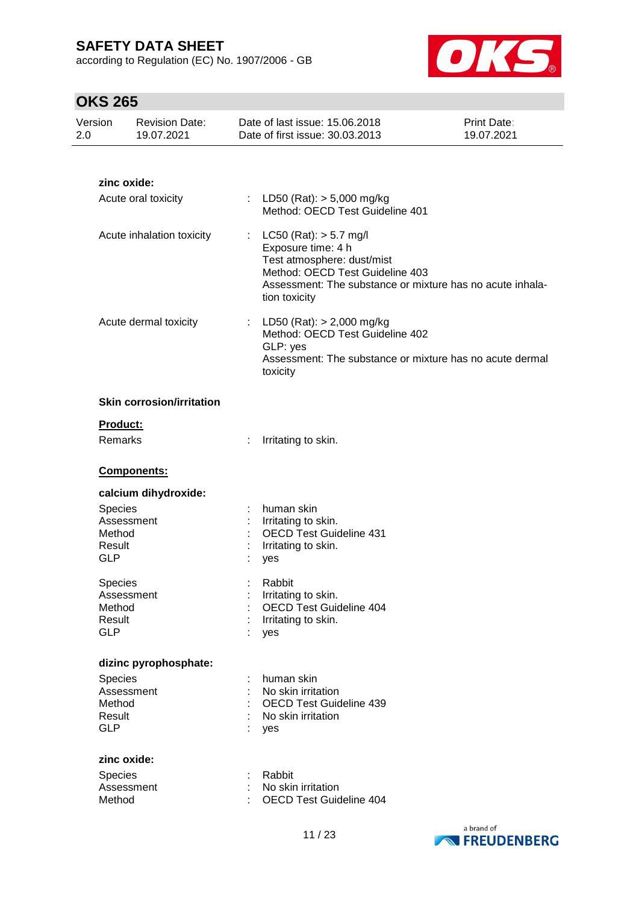according to Regulation (EC) No. 1907/2006 - GB



| Version<br>2.0                            | <b>Revision Date:</b><br>19.07.2021 | Date of last issue: 15.06.2018<br>Date of first issue: 30.03.2013                                                                                                                                                        | <b>Print Date:</b><br>19.07.2021 |
|-------------------------------------------|-------------------------------------|--------------------------------------------------------------------------------------------------------------------------------------------------------------------------------------------------------------------------|----------------------------------|
|                                           |                                     |                                                                                                                                                                                                                          |                                  |
|                                           | zinc oxide:                         |                                                                                                                                                                                                                          |                                  |
|                                           | Acute oral toxicity                 | LD50 (Rat): $> 5,000$ mg/kg<br>÷.<br>Method: OECD Test Guideline 401                                                                                                                                                     |                                  |
|                                           | Acute inhalation toxicity           | $LC50$ (Rat): $> 5.7$ mg/l<br>$\mathbb{Z}^{\times}$<br>Exposure time: 4 h<br>Test atmosphere: dust/mist<br>Method: OECD Test Guideline 403<br>Assessment: The substance or mixture has no acute inhala-<br>tion toxicity |                                  |
|                                           | Acute dermal toxicity               | LD50 (Rat): $> 2,000$ mg/kg<br>t.<br>Method: OECD Test Guideline 402<br>GLP: yes<br>Assessment: The substance or mixture has no acute dermal<br>toxicity                                                                 |                                  |
|                                           | <b>Skin corrosion/irritation</b>    |                                                                                                                                                                                                                          |                                  |
|                                           | Product:                            |                                                                                                                                                                                                                          |                                  |
|                                           | Remarks                             | Irritating to skin.<br>÷                                                                                                                                                                                                 |                                  |
|                                           | Components:                         |                                                                                                                                                                                                                          |                                  |
|                                           | calcium dihydroxide:                |                                                                                                                                                                                                                          |                                  |
| Species<br>Method<br>Result<br><b>GLP</b> | Assessment                          | human skin<br>Irritating to skin.<br><b>OECD Test Guideline 431</b><br>Irritating to skin.<br>yes                                                                                                                        |                                  |
| Species<br>Method<br>Result<br><b>GLP</b> | Assessment                          | Rabbit<br>Irritating to skin.<br><b>OECD Test Guideline 404</b><br>Irritating to skin.<br>yes                                                                                                                            |                                  |
|                                           | dizinc pyrophosphate:               |                                                                                                                                                                                                                          |                                  |
| Species<br>Method<br>Result<br><b>GLP</b> | Assessment                          | human skin<br>No skin irritation<br><b>OECD Test Guideline 439</b><br>No skin irritation<br>yes                                                                                                                          |                                  |
| Species<br>Method                         | zinc oxide:<br>Assessment           | Rabbit<br>No skin irritation<br><b>OECD Test Guideline 404</b>                                                                                                                                                           |                                  |

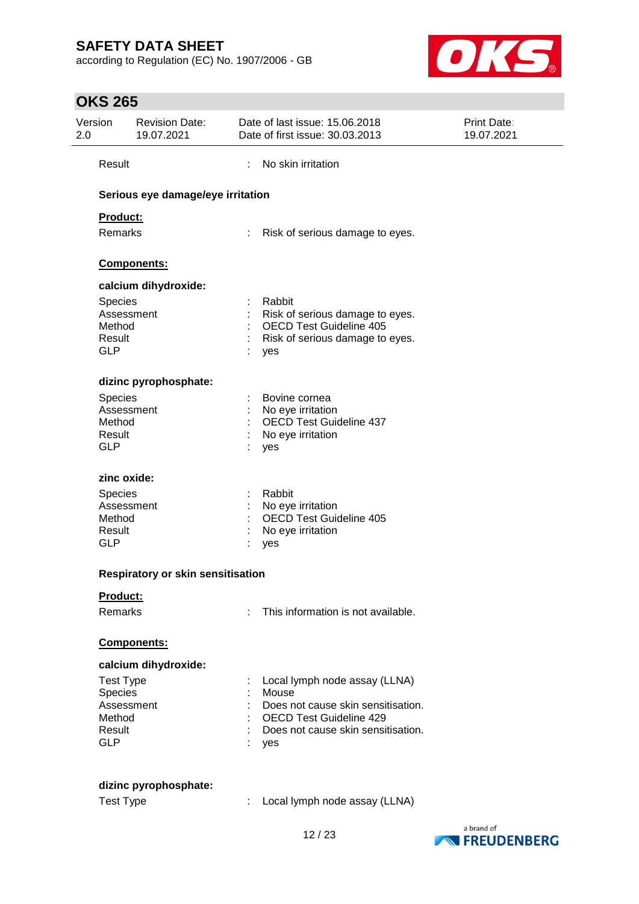according to Regulation (EC) No. 1907/2006 - GB



| 2.0 | Version               | <b>Revision Date:</b><br>19.07.2021 |   | Date of last issue: 15.06.2018<br>Date of first issue: 30.03.2013 | <b>Print Date:</b><br>19.07.2021 |
|-----|-----------------------|-------------------------------------|---|-------------------------------------------------------------------|----------------------------------|
|     | Result                |                                     | ÷ | No skin irritation                                                |                                  |
|     |                       | Serious eye damage/eye irritation   |   |                                                                   |                                  |
|     | Product:              |                                     |   |                                                                   |                                  |
|     | Remarks               |                                     |   | Risk of serious damage to eyes.                                   |                                  |
|     |                       | Components:                         |   |                                                                   |                                  |
|     |                       | calcium dihydroxide:                |   |                                                                   |                                  |
|     | Species               |                                     |   | Rabbit                                                            |                                  |
|     | Assessment            |                                     |   | Risk of serious damage to eyes.                                   |                                  |
|     | Method                |                                     |   | <b>OECD Test Guideline 405</b>                                    |                                  |
|     | Result<br><b>GLP</b>  |                                     |   | Risk of serious damage to eyes.<br>yes                            |                                  |
|     |                       | dizinc pyrophosphate:               |   |                                                                   |                                  |
|     |                       |                                     |   |                                                                   |                                  |
|     | Species<br>Assessment |                                     |   | Bovine cornea<br>: No eye irritation                              |                                  |
|     | Method                |                                     |   | <b>OECD Test Guideline 437</b>                                    |                                  |
|     | Result                |                                     |   | No eye irritation                                                 |                                  |
|     | <b>GLP</b>            |                                     |   | yes                                                               |                                  |
|     | zinc oxide:           |                                     |   |                                                                   |                                  |
|     | Species               |                                     |   | Rabbit                                                            |                                  |
|     | Assessment            |                                     |   | No eye irritation                                                 |                                  |
|     | Method                |                                     |   | <b>OECD Test Guideline 405</b>                                    |                                  |
|     | Result                |                                     |   | No eye irritation                                                 |                                  |
|     | <b>GLP</b>            |                                     |   | yes                                                               |                                  |
|     |                       | Respiratory or skin sensitisation   |   |                                                                   |                                  |
|     | Product:              |                                     |   |                                                                   |                                  |
|     | Remarks               |                                     |   | This information is not available.                                |                                  |
|     |                       | Components:                         |   |                                                                   |                                  |
|     |                       | calcium dihydroxide:                |   |                                                                   |                                  |
|     | <b>Test Type</b>      |                                     |   | Local lymph node assay (LLNA)                                     |                                  |
|     | Species               |                                     |   | Mouse                                                             |                                  |
|     | Assessment            |                                     |   | Does not cause skin sensitisation.                                |                                  |
|     | Method                |                                     |   | <b>OECD Test Guideline 429</b>                                    |                                  |
|     | Result<br><b>GLP</b>  |                                     |   | Does not cause skin sensitisation.<br>yes                         |                                  |
|     |                       |                                     |   |                                                                   |                                  |
|     |                       | dizinc pyrophosphate:               |   |                                                                   |                                  |
|     | <b>Test Type</b>      |                                     | ÷ | Local lymph node assay (LLNA)                                     |                                  |
|     |                       |                                     |   |                                                                   |                                  |

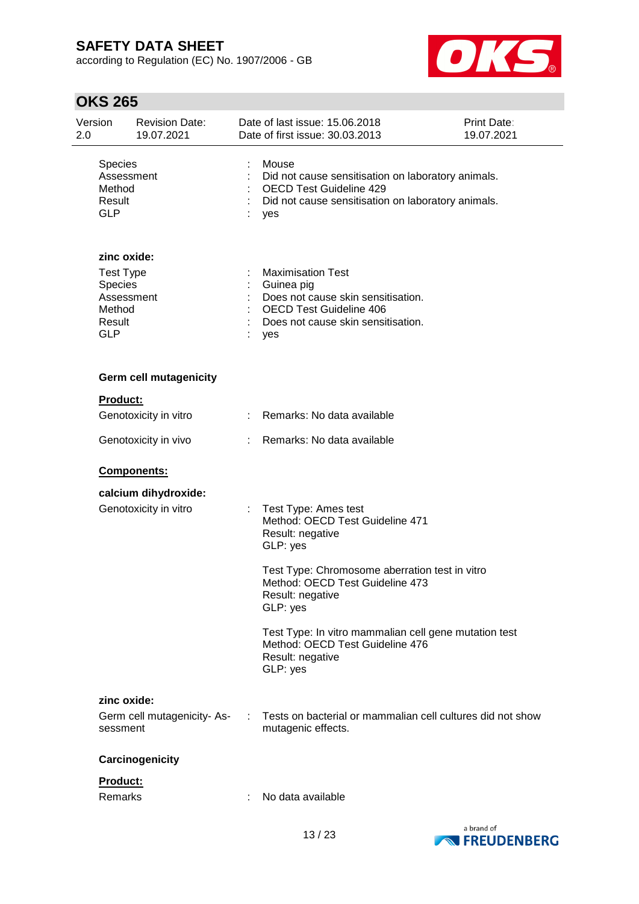according to Regulation (EC) No. 1907/2006 - GB



| Version<br>2.0 |                                                                                            | <b>Revision Date:</b><br>19.07.2021           |   | Date of last issue: 15.06.2018<br>Date of first issue: 30.03.2013                                                                                           | Print Date:<br>19.07.2021 |
|----------------|--------------------------------------------------------------------------------------------|-----------------------------------------------|---|-------------------------------------------------------------------------------------------------------------------------------------------------------------|---------------------------|
|                | Species<br>Assessment<br>Method<br>Result<br><b>GLP</b>                                    |                                               |   | Mouse<br>Did not cause sensitisation on laboratory animals.<br><b>OECD Test Guideline 429</b><br>Did not cause sensitisation on laboratory animals.<br>yes  |                           |
|                | zinc oxide:<br><b>Test Type</b><br>Species<br>Assessment<br>Method<br>Result<br><b>GLP</b> |                                               |   | <b>Maximisation Test</b><br>Guinea pig<br>Does not cause skin sensitisation.<br><b>OECD Test Guideline 406</b><br>Does not cause skin sensitisation.<br>yes |                           |
|                |                                                                                            | <b>Germ cell mutagenicity</b>                 |   |                                                                                                                                                             |                           |
|                | Product:                                                                                   | Genotoxicity in vitro                         |   | : Remarks: No data available                                                                                                                                |                           |
|                |                                                                                            | Genotoxicity in vivo                          | ÷ | Remarks: No data available                                                                                                                                  |                           |
|                |                                                                                            |                                               |   |                                                                                                                                                             |                           |
|                |                                                                                            | <b>Components:</b>                            |   |                                                                                                                                                             |                           |
|                |                                                                                            | calcium dihydroxide:<br>Genotoxicity in vitro |   | Test Type: Ames test<br>Method: OECD Test Guideline 471<br>Result: negative<br>GLP: yes                                                                     |                           |
|                |                                                                                            |                                               |   | Test Type: Chromosome aberration test in vitro<br>Method: OECD Test Guideline 473<br>Result: negative<br>GLP: yes                                           |                           |
|                |                                                                                            |                                               |   | Test Type: In vitro mammalian cell gene mutation test<br>Method: OECD Test Guideline 476<br>Result: negative<br>GLP: yes                                    |                           |
|                | zinc oxide:                                                                                |                                               |   |                                                                                                                                                             |                           |
|                | sessment                                                                                   | Germ cell mutagenicity- As-                   | ÷ | Tests on bacterial or mammalian cell cultures did not show<br>mutagenic effects.                                                                            |                           |
|                |                                                                                            | Carcinogenicity                               |   |                                                                                                                                                             |                           |
|                | Product:                                                                                   |                                               |   |                                                                                                                                                             |                           |
|                | Remarks                                                                                    |                                               |   | No data available                                                                                                                                           |                           |

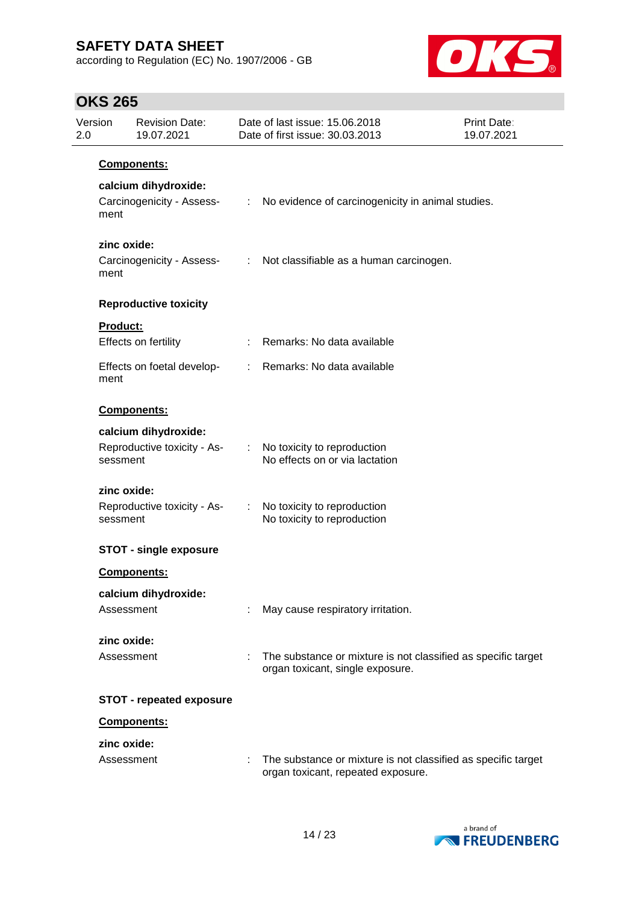according to Regulation (EC) No. 1907/2006 - GB



| 2.0 | Version             | <b>Revision Date:</b><br>19.07.2021               |    | Date of last issue: 15,06,2018<br>Date of first issue: 30.03.2013                                   | Print Date:<br>19.07.2021 |
|-----|---------------------|---------------------------------------------------|----|-----------------------------------------------------------------------------------------------------|---------------------------|
|     |                     | Components:                                       |    |                                                                                                     |                           |
|     | ment                | calcium dihydroxide:<br>Carcinogenicity - Assess- |    | : No evidence of carcinogenicity in animal studies.                                                 |                           |
|     | zinc oxide:<br>ment | Carcinogenicity - Assess-                         |    | : Not classifiable as a human carcinogen.                                                           |                           |
|     |                     | <b>Reproductive toxicity</b>                      |    |                                                                                                     |                           |
|     | <b>Product:</b>     | Effects on fertility                              |    | Remarks: No data available                                                                          |                           |
|     | ment                | Effects on foetal develop-                        | ÷. | Remarks: No data available                                                                          |                           |
|     |                     | Components:                                       |    |                                                                                                     |                           |
|     |                     | calcium dihydroxide:                              |    |                                                                                                     |                           |
|     | sessment            | Reproductive toxicity - As-                       |    | No toxicity to reproduction<br>No effects on or via lactation                                       |                           |
|     | zinc oxide:         |                                                   |    |                                                                                                     |                           |
|     | sessment            | Reproductive toxicity - As-                       |    | No toxicity to reproduction<br>No toxicity to reproduction                                          |                           |
|     |                     | <b>STOT - single exposure</b>                     |    |                                                                                                     |                           |
|     |                     | <b>Components:</b>                                |    |                                                                                                     |                           |
|     |                     | calcium dihydroxide:                              |    |                                                                                                     |                           |
|     |                     | Assessment                                        |    | May cause respiratory irritation.                                                                   |                           |
|     | zinc oxide:         |                                                   |    |                                                                                                     |                           |
|     |                     | Assessment                                        |    | The substance or mixture is not classified as specific target<br>organ toxicant, single exposure.   |                           |
|     |                     | <b>STOT - repeated exposure</b>                   |    |                                                                                                     |                           |
|     |                     | Components:                                       |    |                                                                                                     |                           |
|     | zinc oxide:         |                                                   |    |                                                                                                     |                           |
|     |                     | Assessment                                        |    | The substance or mixture is not classified as specific target<br>organ toxicant, repeated exposure. |                           |

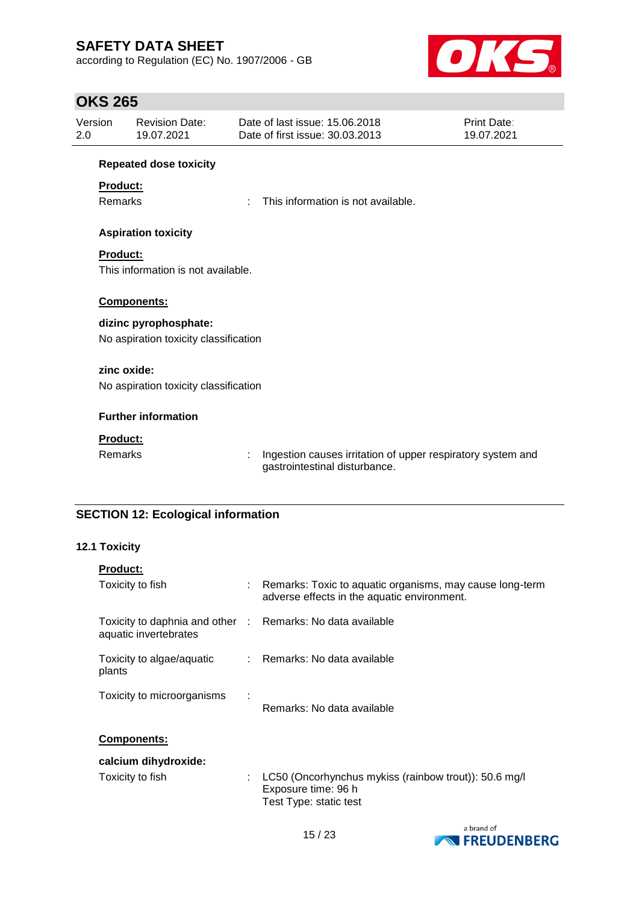according to Regulation (EC) No. 1907/2006 - GB



## **OKS 265**

| 2.0 | Version<br><b>Revision Date:</b><br>19.07.2021 |                                       |    | Date of last issue: 15.06.2018<br>Date of first issue: 30.03.2013                            | Print Date:<br>19.07.2021 |  |
|-----|------------------------------------------------|---------------------------------------|----|----------------------------------------------------------------------------------------------|---------------------------|--|
|     |                                                | <b>Repeated dose toxicity</b>         |    |                                                                                              |                           |  |
|     | Product:                                       |                                       |    |                                                                                              |                           |  |
|     | <b>Remarks</b>                                 |                                       | t. | This information is not available.                                                           |                           |  |
|     |                                                | <b>Aspiration toxicity</b>            |    |                                                                                              |                           |  |
|     | <b>Product:</b>                                |                                       |    |                                                                                              |                           |  |
|     | This information is not available.             |                                       |    |                                                                                              |                           |  |
|     |                                                | Components:                           |    |                                                                                              |                           |  |
|     |                                                |                                       |    |                                                                                              |                           |  |
|     |                                                | dizinc pyrophosphate:                 |    |                                                                                              |                           |  |
|     |                                                | No aspiration toxicity classification |    |                                                                                              |                           |  |
|     | zinc oxide:                                    |                                       |    |                                                                                              |                           |  |
|     |                                                | No aspiration toxicity classification |    |                                                                                              |                           |  |
|     |                                                |                                       |    |                                                                                              |                           |  |
|     |                                                | <b>Further information</b>            |    |                                                                                              |                           |  |
|     | <b>Product:</b>                                |                                       |    |                                                                                              |                           |  |
|     | <b>Remarks</b>                                 |                                       |    | Ingestion causes irritation of upper respiratory system and<br>gastrointestinal disturbance. |                           |  |

# **SECTION 12: Ecological information**

### **12.1 Toxicity**

| <b>Product:</b>                                                                     |                                                                                                           |
|-------------------------------------------------------------------------------------|-----------------------------------------------------------------------------------------------------------|
| Toxicity to fish                                                                    | : Remarks: Toxic to aquatic organisms, may cause long-term<br>adverse effects in the aquatic environment. |
| Toxicity to daphnia and other : Remarks: No data available<br>aquatic invertebrates |                                                                                                           |
| Toxicity to algae/aquatic<br>plants                                                 | $\therefore$ Remarks: No data available                                                                   |
| Toxicity to microorganisms                                                          | Remarks: No data available                                                                                |
| <b>Components:</b>                                                                  |                                                                                                           |
| calcium dihydroxide:                                                                |                                                                                                           |
| Toxicity to fish                                                                    | LC50 (Oncorhynchus mykiss (rainbow trout)): 50.6 mg/l<br>Exposure time: 96 h<br>Test Type: static test    |

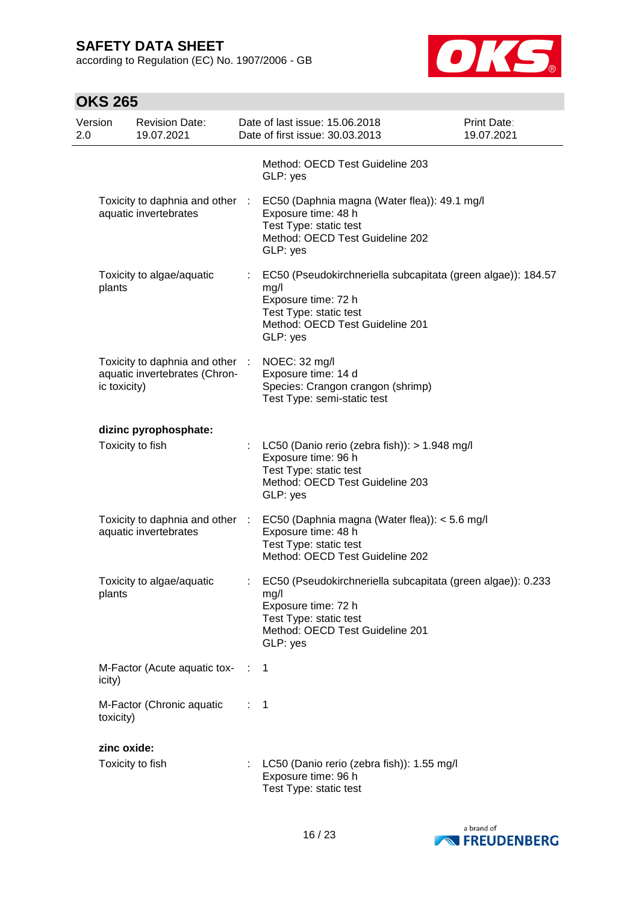according to Regulation (EC) No. 1907/2006 - GB



| Version<br>2.0 |              | <b>Revision Date:</b><br>19.07.2021                            |                | Date of last issue: 15.06.2018<br>Date of first issue: 30.03.2013                                                                                                    | <b>Print Date:</b><br>19.07.2021 |
|----------------|--------------|----------------------------------------------------------------|----------------|----------------------------------------------------------------------------------------------------------------------------------------------------------------------|----------------------------------|
|                |              |                                                                |                | Method: OECD Test Guideline 203<br>GLP: yes                                                                                                                          |                                  |
|                |              | Toxicity to daphnia and other<br>aquatic invertebrates         | - 17           | EC50 (Daphnia magna (Water flea)): 49.1 mg/l<br>Exposure time: 48 h<br>Test Type: static test<br>Method: OECD Test Guideline 202<br>GLP: yes                         |                                  |
|                | plants       | Toxicity to algae/aquatic                                      |                | EC50 (Pseudokirchneriella subcapitata (green algae)): 184.57<br>mg/l<br>Exposure time: 72 h<br>Test Type: static test<br>Method: OECD Test Guideline 201<br>GLP: yes |                                  |
|                | ic toxicity) | Toxicity to daphnia and other<br>aquatic invertebrates (Chron- |                | NOEC: 32 mg/l<br>Exposure time: 14 d<br>Species: Crangon crangon (shrimp)<br>Test Type: semi-static test                                                             |                                  |
|                |              | dizinc pyrophosphate:                                          |                |                                                                                                                                                                      |                                  |
|                |              | Toxicity to fish                                               |                | LC50 (Danio rerio (zebra fish)): > 1.948 mg/l<br>Exposure time: 96 h<br>Test Type: static test<br>Method: OECD Test Guideline 203<br>GLP: yes                        |                                  |
|                |              | Toxicity to daphnia and other<br>aquatic invertebrates         |                | EC50 (Daphnia magna (Water flea)): < 5.6 mg/l<br>Exposure time: 48 h<br>Test Type: static test<br>Method: OECD Test Guideline 202                                    |                                  |
|                | plants       | Toxicity to algae/aquatic                                      |                | EC50 (Pseudokirchneriella subcapitata (green algae)): 0.233<br>mg/l<br>Exposure time: 72 h<br>Test Type: static test<br>Method: OECD Test Guideline 201<br>GLP: yes  |                                  |
| icity)         |              | M-Factor (Acute aquatic tox- : 1                               |                |                                                                                                                                                                      |                                  |
|                | toxicity)    | M-Factor (Chronic aquatic                                      | $\therefore$ 1 |                                                                                                                                                                      |                                  |
|                | zinc oxide:  |                                                                |                |                                                                                                                                                                      |                                  |
|                |              | Toxicity to fish                                               |                | LC50 (Danio rerio (zebra fish)): 1.55 mg/l<br>Exposure time: 96 h<br>Test Type: static test                                                                          |                                  |

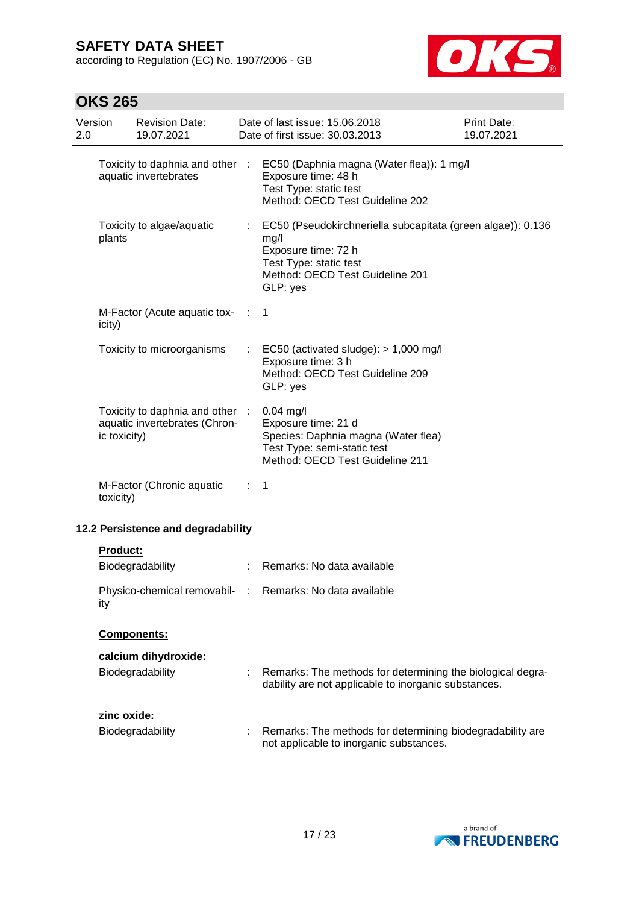according to Regulation (EC) No. 1907/2006 - GB



| Version<br>2.0 |              | <b>Revision Date:</b><br>19.07.2021                            |                | Date of last issue: 15.06.2018<br>Date of first issue: 30.03.2013                                                                                                   | <b>Print Date:</b><br>19.07.2021 |
|----------------|--------------|----------------------------------------------------------------|----------------|---------------------------------------------------------------------------------------------------------------------------------------------------------------------|----------------------------------|
|                |              | Toxicity to daphnia and other :<br>aquatic invertebrates       |                | EC50 (Daphnia magna (Water flea)): 1 mg/l<br>Exposure time: 48 h<br>Test Type: static test<br>Method: OECD Test Guideline 202                                       |                                  |
|                | plants       | Toxicity to algae/aquatic                                      |                | EC50 (Pseudokirchneriella subcapitata (green algae)): 0.136<br>mg/l<br>Exposure time: 72 h<br>Test Type: static test<br>Method: OECD Test Guideline 201<br>GLP: yes |                                  |
|                | icity)       | M-Factor (Acute aquatic tox-                                   | $\sim$ 1.      | $\mathbf{1}$                                                                                                                                                        |                                  |
|                |              | Toxicity to microorganisms                                     |                | EC50 (activated sludge): $> 1,000$ mg/l<br>Exposure time: 3 h<br>Method: OECD Test Guideline 209<br>GLP: yes                                                        |                                  |
|                | ic toxicity) | Toxicity to daphnia and other<br>aquatic invertebrates (Chron- |                | $0.04$ mg/l<br>Exposure time: 21 d<br>Species: Daphnia magna (Water flea)<br>Test Type: semi-static test<br>Method: OECD Test Guideline 211                         |                                  |
|                | toxicity)    | M-Factor (Chronic aquatic                                      | ÷.             | 1                                                                                                                                                                   |                                  |
|                |              | 12.2 Persistence and degradability                             |                |                                                                                                                                                                     |                                  |
|                | Product:     | Biodegradability                                               | $\mathbb{Z}^n$ | Remarks: No data available                                                                                                                                          |                                  |
|                | ity          |                                                                |                | Physico-chemical removabil- : Remarks: No data available                                                                                                            |                                  |
|                |              | Components:                                                    |                |                                                                                                                                                                     |                                  |
|                |              | calcium dihydroxide:<br>Biodegradability                       |                | Remarks: The methods for determining the biological degra-<br>dability are not applicable to inorganic substances.                                                  |                                  |
|                | zinc oxide:  | Biodegradability                                               |                | Remarks: The methods for determining biodegradability are<br>not applicable to inorganic substances.                                                                |                                  |

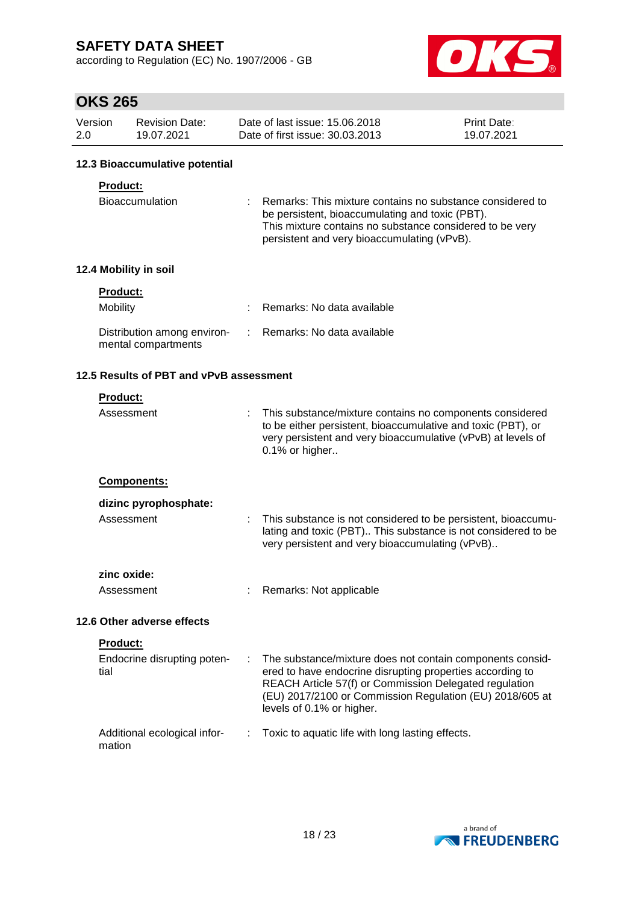according to Regulation (EC) No. 1907/2006 - GB



# **OKS 265**

| Version | <b>Revision Date:</b> | Date of last issue: 15.06.2018  | <b>Print Date:</b> |
|---------|-----------------------|---------------------------------|--------------------|
| 2.0     | 19.07.2021            | Date of first issue: 30.03.2013 | 19.07.2021         |

#### **12.3 Bioaccumulative potential**

#### **Product:**

| <b>Bioaccumulation</b> | : Remarks: This mixture contains no substance considered to |
|------------------------|-------------------------------------------------------------|
|                        | be persistent, bioaccumulating and toxic (PBT).             |
|                        | This mixture contains no substance considered to be very    |
|                        | persistent and very bioaccumulating (vPvB).                 |

### **12.4 Mobility in soil**

| <b>Product:</b>                                    |                              |
|----------------------------------------------------|------------------------------|
| Mobility                                           | : Remarks: No data available |
| Distribution among environ-<br>mental compartments | : Remarks: No data available |

### **12.5 Results of PBT and vPvB assessment**

| <b>Product:</b> |  |  |  |  |
|-----------------|--|--|--|--|
|                 |  |  |  |  |

| Assessment                             |    | This substance/mixture contains no components considered<br>to be either persistent, bioaccumulative and toxic (PBT), or<br>very persistent and very bioaccumulative (vPvB) at levels of<br>0.1% or higher                                                                |
|----------------------------------------|----|---------------------------------------------------------------------------------------------------------------------------------------------------------------------------------------------------------------------------------------------------------------------------|
| <b>Components:</b>                     |    |                                                                                                                                                                                                                                                                           |
| dizinc pyrophosphate:                  |    |                                                                                                                                                                                                                                                                           |
| Assessment                             |    | This substance is not considered to be persistent, bioaccumu-<br>lating and toxic (PBT) This substance is not considered to be<br>very persistent and very bioaccumulating (vPvB)                                                                                         |
| zinc oxide:                            |    |                                                                                                                                                                                                                                                                           |
| Assessment                             |    | Remarks: Not applicable                                                                                                                                                                                                                                                   |
| 12.6 Other adverse effects             |    |                                                                                                                                                                                                                                                                           |
| <b>Product:</b>                        |    |                                                                                                                                                                                                                                                                           |
| Endocrine disrupting poten-<br>tial    | ÷. | The substance/mixture does not contain components consid-<br>ered to have endocrine disrupting properties according to<br>REACH Article 57(f) or Commission Delegated regulation<br>(EU) 2017/2100 or Commission Regulation (EU) 2018/605 at<br>levels of 0.1% or higher. |
| Additional ecological infor-<br>mation |    | Toxic to aquatic life with long lasting effects.                                                                                                                                                                                                                          |

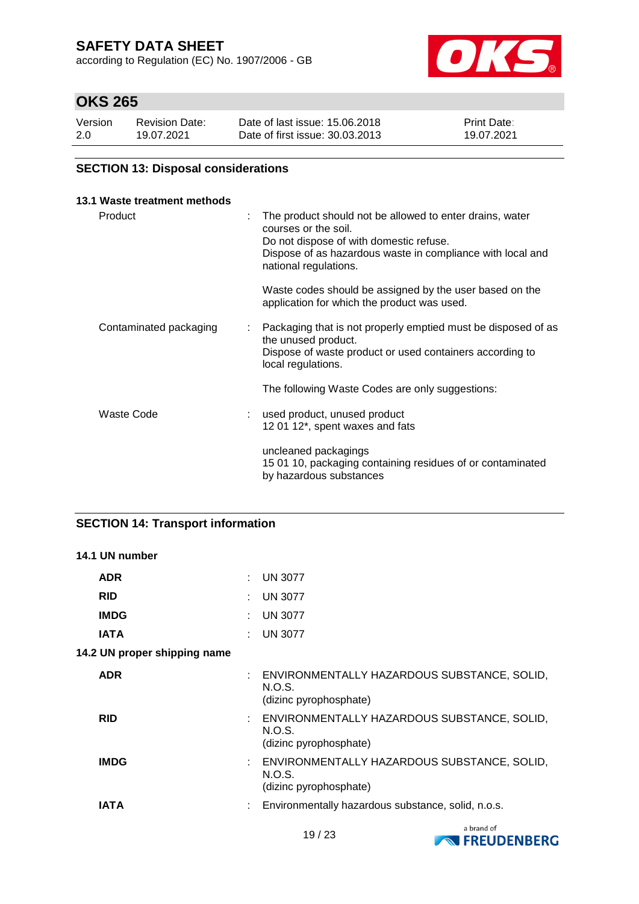according to Regulation (EC) No. 1907/2006 - GB



# **OKS 265**

| Version | <b>Revision Date:</b> | Date of last issue: 15.06.2018  | <b>Print Date:</b> |
|---------|-----------------------|---------------------------------|--------------------|
| 2.0     | 19.07.2021            | Date of first issue: 30.03.2013 | 19.07.2021         |

### **SECTION 13: Disposal considerations**

#### **13.1 Waste treatment methods**

| Product                | The product should not be allowed to enter drains, water<br>courses or the soil.<br>Do not dispose of with domestic refuse.<br>Dispose of as hazardous waste in compliance with local and<br>national regulations. |
|------------------------|--------------------------------------------------------------------------------------------------------------------------------------------------------------------------------------------------------------------|
|                        | Waste codes should be assigned by the user based on the<br>application for which the product was used.                                                                                                             |
| Contaminated packaging | Packaging that is not properly emptied must be disposed of as<br>$\mathbb{Z}^{\mathbb{Z}}$<br>the unused product.<br>Dispose of waste product or used containers according to<br>local regulations.                |
|                        | The following Waste Codes are only suggestions:                                                                                                                                                                    |
| Waste Code             | used product, unused product<br>12 01 12*, spent waxes and fats                                                                                                                                                    |
|                        | uncleaned packagings<br>15 01 10, packaging containing residues of or contaminated<br>by hazardous substances                                                                                                      |

### **SECTION 14: Transport information**

### **14.1 UN number**

| <b>ADR</b>                   |   | : UN 3077                                                                         |
|------------------------------|---|-----------------------------------------------------------------------------------|
| <b>RID</b>                   | ÷ | <b>UN 3077</b>                                                                    |
| <b>IMDG</b>                  |   | <b>UN 3077</b>                                                                    |
| <b>IATA</b>                  |   | : UN 3077                                                                         |
| 14.2 UN proper shipping name |   |                                                                                   |
| <b>ADR</b>                   |   | : ENVIRONMENTALLY HAZARDOUS SUBSTANCE, SOLID,<br>N.O.S.<br>(dizinc pyrophosphate) |
| <b>RID</b>                   |   | ENVIRONMENTALLY HAZARDOUS SUBSTANCE, SOLID,<br>N.O.S.<br>(dizinc pyrophosphate)   |
| <b>IMDG</b>                  |   | : ENVIRONMENTALLY HAZARDOUS SUBSTANCE, SOLID,<br>N.O.S.<br>(dizinc pyrophosphate) |

**IATA** : Environmentally hazardous substance, solid, n.o.s.

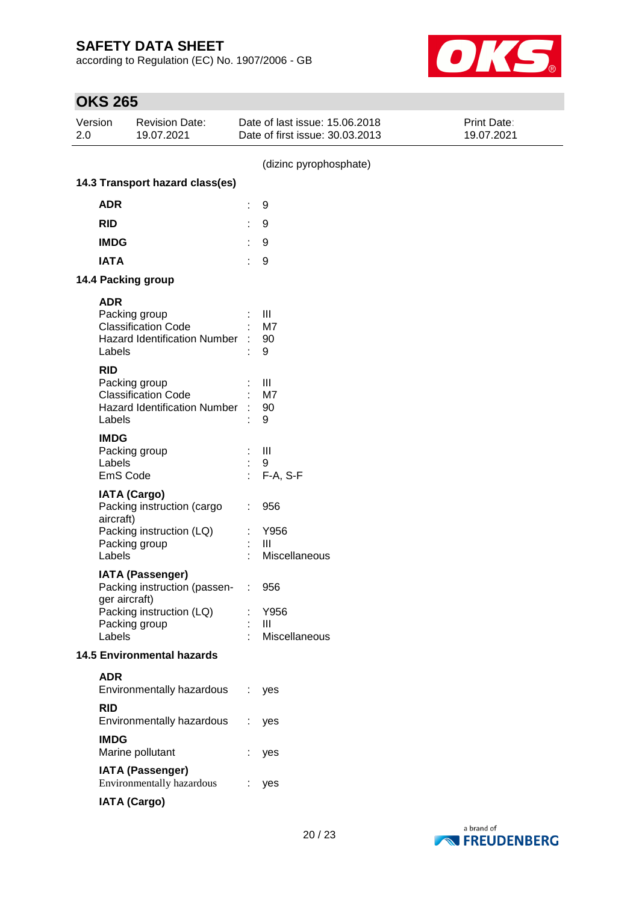according to Regulation (EC) No. 1907/2006 - GB



| Version<br>2.0 | <b>Revision Date:</b><br>19.07.2021               | Date of last issue: 15.06.2018<br>Date of first issue: 30.03.2013 | Print Date:<br>19.07.2021 |
|----------------|---------------------------------------------------|-------------------------------------------------------------------|---------------------------|
|                |                                                   | (dizinc pyrophosphate)                                            |                           |
|                | 14.3 Transport hazard class(es)                   |                                                                   |                           |
| <b>ADR</b>     |                                                   | 9                                                                 |                           |
| <b>RID</b>     |                                                   | 9                                                                 |                           |
| <b>IMDG</b>    |                                                   | 9                                                                 |                           |
| <b>IATA</b>    |                                                   | 9                                                                 |                           |
|                | 14.4 Packing group                                |                                                                   |                           |
| <b>ADR</b>     |                                                   |                                                                   |                           |
|                | Packing group                                     | Ш                                                                 |                           |
|                | <b>Classification Code</b>                        | M7                                                                |                           |
| Labels         | <b>Hazard Identification Number</b>               | 90<br>9                                                           |                           |
|                |                                                   |                                                                   |                           |
| <b>RID</b>     | Packing group                                     | III                                                               |                           |
|                | <b>Classification Code</b>                        | M7                                                                |                           |
|                | <b>Hazard Identification Number</b>               | 90                                                                |                           |
| Labels         |                                                   | 9                                                                 |                           |
| <b>IMDG</b>    |                                                   |                                                                   |                           |
|                | Packing group                                     | $\mathbf{III}$                                                    |                           |
| Labels         | EmS Code                                          | 9<br>F-A, S-F                                                     |                           |
|                |                                                   |                                                                   |                           |
|                | <b>IATA (Cargo)</b><br>Packing instruction (cargo | 956                                                               |                           |
| aircraft)      |                                                   |                                                                   |                           |
|                | Packing instruction (LQ)                          | Y956                                                              |                           |
|                | Packing group                                     | III                                                               |                           |
| Labels         |                                                   | Miscellaneous                                                     |                           |
|                | <b>IATA (Passenger)</b>                           |                                                                   |                           |
|                | Packing instruction (passen-<br>ger aircraft)     | 956                                                               |                           |
|                | Packing instruction (LQ)                          | Y956<br>÷                                                         |                           |
|                | Packing group                                     | Ш                                                                 |                           |
| Labels         |                                                   | Miscellaneous                                                     |                           |
|                | <b>14.5 Environmental hazards</b>                 |                                                                   |                           |
| <b>ADR</b>     |                                                   |                                                                   |                           |
|                | Environmentally hazardous                         | ÷<br>yes                                                          |                           |
| <b>RID</b>     |                                                   |                                                                   |                           |
|                | Environmentally hazardous                         | yes                                                               |                           |
| <b>IMDG</b>    |                                                   |                                                                   |                           |
|                | Marine pollutant                                  | yes                                                               |                           |
|                | <b>IATA (Passenger)</b>                           |                                                                   |                           |
|                | Environmentally hazardous                         | yes                                                               |                           |
|                | <b>IATA (Cargo)</b>                               |                                                                   |                           |

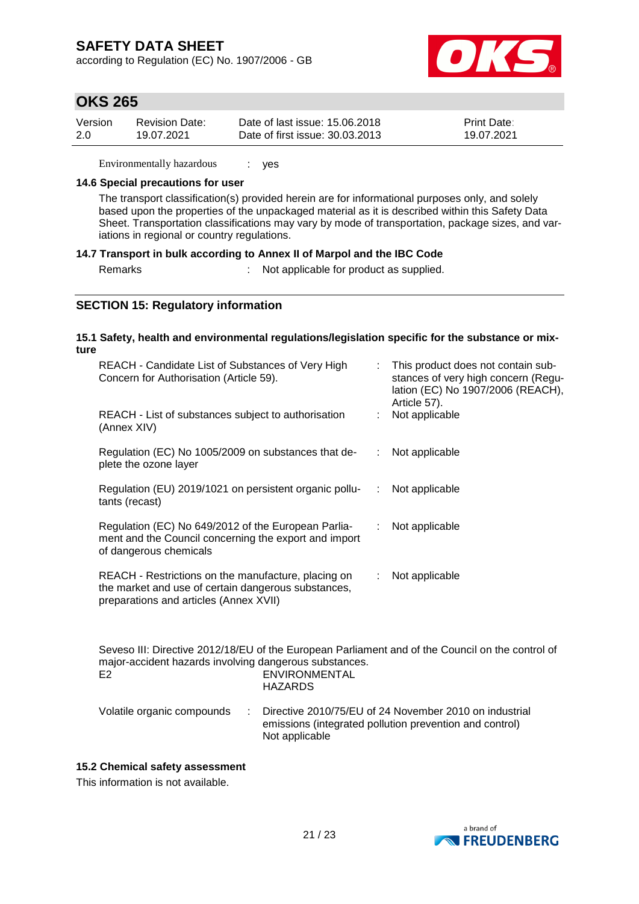according to Regulation (EC) No. 1907/2006 - GB



## **OKS 265**

| Version | Revision Date: | Date of last issue: 15.06.2018  | <b>Print Date:</b> |
|---------|----------------|---------------------------------|--------------------|
| 2.0     | 19.07.2021     | Date of first issue: 30.03.2013 | 19.07.2021         |

Environmentally hazardous : yes

#### **14.6 Special precautions for user**

The transport classification(s) provided herein are for informational purposes only, and solely based upon the properties of the unpackaged material as it is described within this Safety Data Sheet. Transportation classifications may vary by mode of transportation, package sizes, and variations in regional or country regulations.

#### **14.7 Transport in bulk according to Annex II of Marpol and the IBC Code**

Remarks : Not applicable for product as supplied.

### **SECTION 15: Regulatory information**

#### **15.1 Safety, health and environmental regulations/legislation specific for the substance or mixture**

| REACH - Candidate List of Substances of Very High<br>Concern for Authorisation (Article 59).                                                         |   | : This product does not contain sub-<br>stances of very high concern (Regu-<br>lation (EC) No 1907/2006 (REACH),<br>Article 57). |
|------------------------------------------------------------------------------------------------------------------------------------------------------|---|----------------------------------------------------------------------------------------------------------------------------------|
| REACH - List of substances subject to authorisation<br>(Annex XIV)                                                                                   |   | Not applicable                                                                                                                   |
| Regulation (EC) No 1005/2009 on substances that de-<br>plete the ozone layer                                                                         |   | Not applicable                                                                                                                   |
| Regulation (EU) 2019/1021 on persistent organic pollu-<br>tants (recast)                                                                             | ÷ | Not applicable                                                                                                                   |
| Regulation (EC) No 649/2012 of the European Parlia-<br>ment and the Council concerning the export and import<br>of dangerous chemicals               |   | Not applicable                                                                                                                   |
| REACH - Restrictions on the manufacture, placing on<br>the market and use of certain dangerous substances,<br>preparations and articles (Annex XVII) |   | Not applicable                                                                                                                   |

Seveso III: Directive 2012/18/EU of the European Parliament and of the Council on the control of major-accident hazards involving dangerous substances. E2 ENVIRONMENTAL HAZARDS

| Volatile organic compounds | : Directive 2010/75/EU of 24 November 2010 on industrial |
|----------------------------|----------------------------------------------------------|
|                            | emissions (integrated pollution prevention and control)  |
|                            | Not applicable                                           |

#### **15.2 Chemical safety assessment**

This information is not available.

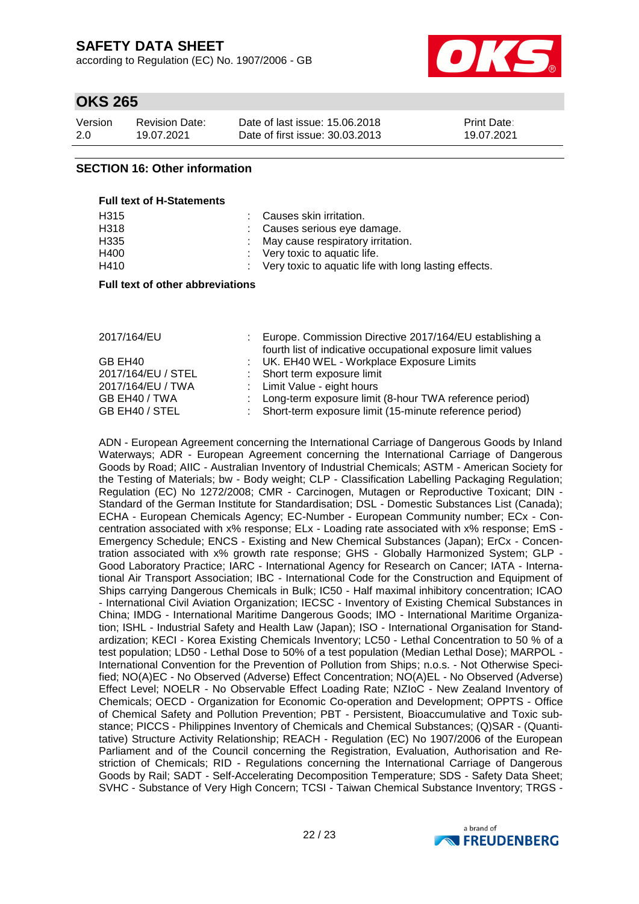according to Regulation (EC) No. 1907/2006 - GB



### **OKS 265**

| Version | <b>Revision Date:</b> | Date of last issue: 15,06,2018  | <b>Print Date:</b> |
|---------|-----------------------|---------------------------------|--------------------|
| 2.0     | 19.07.2021            | Date of first issue: 30.03.2013 | 19.07.2021         |

### **SECTION 16: Other information**

**Full text of H-Statements**

| : Very toxic to aquatic life with long lasting effects. |
|---------------------------------------------------------|
|                                                         |

#### **Full text of other abbreviations**

| 2017/164/EU        | : Europe. Commission Directive 2017/164/EU establishing a<br>fourth list of indicative occupational exposure limit values |
|--------------------|---------------------------------------------------------------------------------------------------------------------------|
| GB EH40            | : UK. EH40 WEL - Workplace Exposure Limits                                                                                |
| 2017/164/EU / STEL | : Short term exposure limit                                                                                               |
| 2017/164/EU / TWA  | : Limit Value - eight hours                                                                                               |
| GB EH40 / TWA      | : Long-term exposure limit (8-hour TWA reference period)                                                                  |
| GB EH40 / STEL     | : Short-term exposure limit (15-minute reference period)                                                                  |

ADN - European Agreement concerning the International Carriage of Dangerous Goods by Inland Waterways; ADR - European Agreement concerning the International Carriage of Dangerous Goods by Road; AIIC - Australian Inventory of Industrial Chemicals; ASTM - American Society for the Testing of Materials; bw - Body weight; CLP - Classification Labelling Packaging Regulation; Regulation (EC) No 1272/2008; CMR - Carcinogen, Mutagen or Reproductive Toxicant; DIN - Standard of the German Institute for Standardisation; DSL - Domestic Substances List (Canada); ECHA - European Chemicals Agency; EC-Number - European Community number; ECx - Concentration associated with x% response; ELx - Loading rate associated with x% response; EmS - Emergency Schedule; ENCS - Existing and New Chemical Substances (Japan); ErCx - Concentration associated with x% growth rate response; GHS - Globally Harmonized System; GLP - Good Laboratory Practice; IARC - International Agency for Research on Cancer; IATA - International Air Transport Association; IBC - International Code for the Construction and Equipment of Ships carrying Dangerous Chemicals in Bulk; IC50 - Half maximal inhibitory concentration; ICAO - International Civil Aviation Organization; IECSC - Inventory of Existing Chemical Substances in China; IMDG - International Maritime Dangerous Goods; IMO - International Maritime Organization; ISHL - Industrial Safety and Health Law (Japan); ISO - International Organisation for Standardization; KECI - Korea Existing Chemicals Inventory; LC50 - Lethal Concentration to 50 % of a test population; LD50 - Lethal Dose to 50% of a test population (Median Lethal Dose); MARPOL - International Convention for the Prevention of Pollution from Ships; n.o.s. - Not Otherwise Specified; NO(A)EC - No Observed (Adverse) Effect Concentration; NO(A)EL - No Observed (Adverse) Effect Level; NOELR - No Observable Effect Loading Rate; NZIoC - New Zealand Inventory of Chemicals; OECD - Organization for Economic Co-operation and Development; OPPTS - Office of Chemical Safety and Pollution Prevention; PBT - Persistent, Bioaccumulative and Toxic substance; PICCS - Philippines Inventory of Chemicals and Chemical Substances; (Q)SAR - (Quantitative) Structure Activity Relationship; REACH - Regulation (EC) No 1907/2006 of the European Parliament and of the Council concerning the Registration, Evaluation, Authorisation and Restriction of Chemicals; RID - Regulations concerning the International Carriage of Dangerous Goods by Rail; SADT - Self-Accelerating Decomposition Temperature; SDS - Safety Data Sheet; SVHC - Substance of Very High Concern; TCSI - Taiwan Chemical Substance Inventory; TRGS -